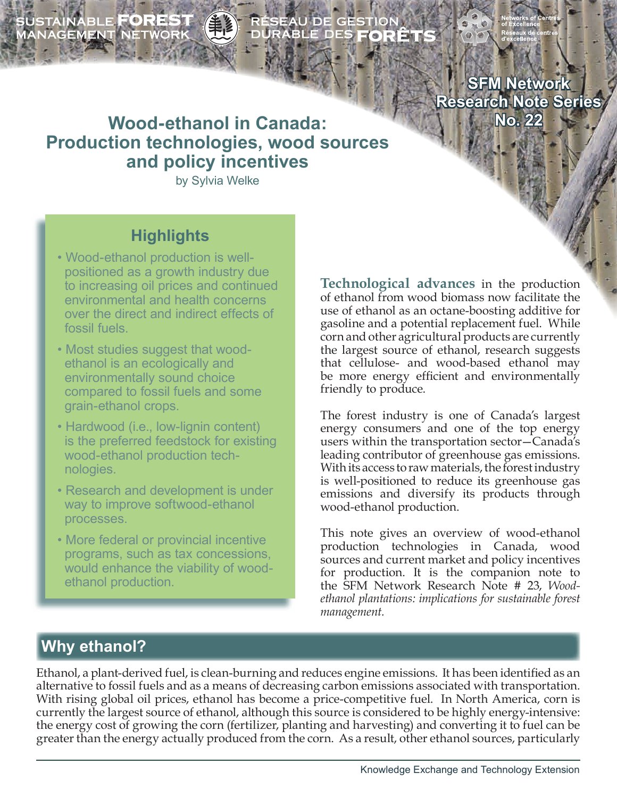SUSTAINABLE **FOREST**<br>MANAGEMENT NETWORK

# ÉSEAU DE GESTION<br>URABLE DES **FORÊT**

**SFM Network Research Note Series No. 22**

# **Wood-ethanol in Canada: Production technologies, wood sources and policy incentives**

by Sylvia Welke

# **Highlights**

- Wood-ethanol production is well positioned as a growth industry due to increasing oil prices and continued environmental and health concerns over the direct and indirect effects of fossil fuels.
- Most studies suggest that wood ethanol is an ecologically and environmentally sound choice compared to fossil fuels and some grain-ethanol crops.
- Hardwood (i.e., low-lignin content) is the preferred feedstock for existing wood-ethanol production tech nologies.
- Research and development is under way to improve softwood-ethanol processes.
- More federal or provincial incentive programs, such as tax concessions, would enhance the viability of wood ethanol production.

**Technological advances** in the production of ethanol from wood biomass now facilitate the use of ethanol as an octane-boosting additive for gasoline and a potential replacement fuel. While corn and other agricultural products are currently the largest source of ethanol, research suggests that cellulose- and wood-based ethanol may be more energy efficient and environmentally friendly to produce.

The forest industry is one of Canada's largest energy consumers and one of the top energy users within the transportation sector—Canada's leading contributor of greenhouse gas emissions. With its access to raw materials, the forest industry is well-positioned to reduce its greenhouse gas emissions and diversify its products through wood-ethanol production.

This note gives an overview of wood-ethanol production technologies in Canada, wood sources and current market and policy incentives for production. It is the companion note to the SFM Network Research Note # 23, *Woodethanol plantations: implications for sustainable forest management.* 

# **Why ethanol?**

Ethanol, a plant-derived fuel, is clean-burning and reduces engine emissions. It has been identified as an alternative to fossil fuels and as a means of decreasing carbon emissions associated with transportation. With rising global oil prices, ethanol has become a price-competitive fuel. In North America, corn is currently the largest source of ethanol, although this source is considered to be highly energy-intensive: the energy cost of growing the corn (fertilizer, planting and harvesting) and converting it to fuel can be greater than the energy actually produced from the corn. As a result, other ethanol sources, particularly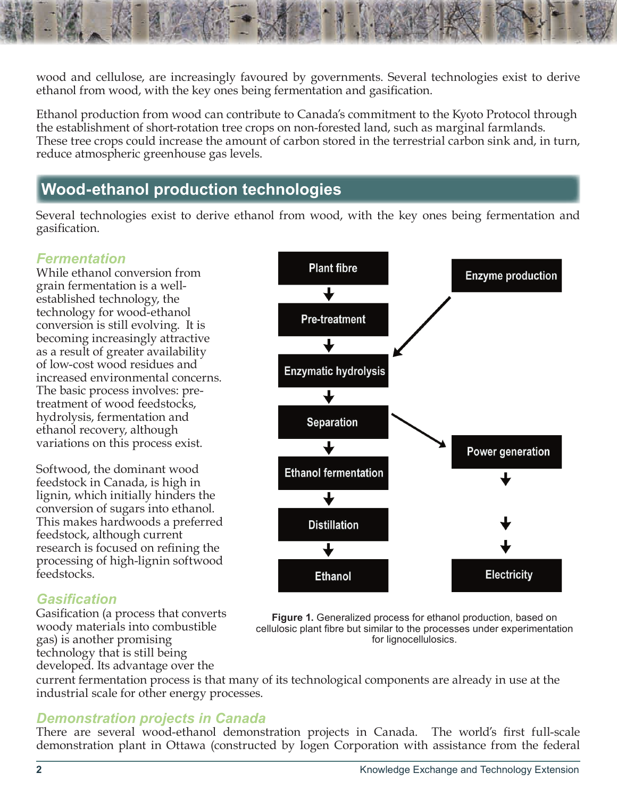wood and cellulose, are increasingly favoured by governments. Several technologies exist to derive ethanol from wood, with the key ones being fermentation and gasification.

Ethanol production from wood can contribute to Canada's commitment to the Kyoto Protocol through the establishment of short-rotation tree crops on non-forested land, such as marginal farmlands. These tree crops could increase the amount of carbon stored in the terrestrial carbon sink and, in turn, reduce atmospheric greenhouse gas levels.

## **Wood-ethanol production technologies**

Several technologies exist to derive ethanol from wood, with the key ones being fermentation and gasification.

#### *Fermentation*

While ethanol conversion from grain fermentation is a wellestablished technology, the technology for wood-ethanol conversion is still evolving. It is becoming increasingly attractive as a result of greater availability of low-cost wood residues and increased environmental concerns. The basic process involves: pretreatment of wood feedstocks, hydrolysis, fermentation and ethanol recovery, although variations on this process exist.

Softwood, the dominant wood feedstock in Canada, is high in lignin, which initially hinders the conversion of sugars into ethanol. This makes hardwoods a preferred feedstock, although current research is focused on refining the processing of high-lignin softwood feedstocks.

#### *Gasification*

Gasification (a process that converts woody materials into combustible gas) is another promising technology that is still being developed. Its advantage over the



**Figure 1.** Generalized process for ethanol production, based on cellulosic plant fibre but similar to the processes under experimentation for lignocellulosics.

current fermentation process is that many of its technological components are already in use at the industrial scale for other energy processes.

#### *Demonstration projects in Canada*

There are several wood-ethanol demonstration projects in Canada. The world's first full-scale demonstration plant in Ottawa (constructed by Iogen Corporation with assistance from the federal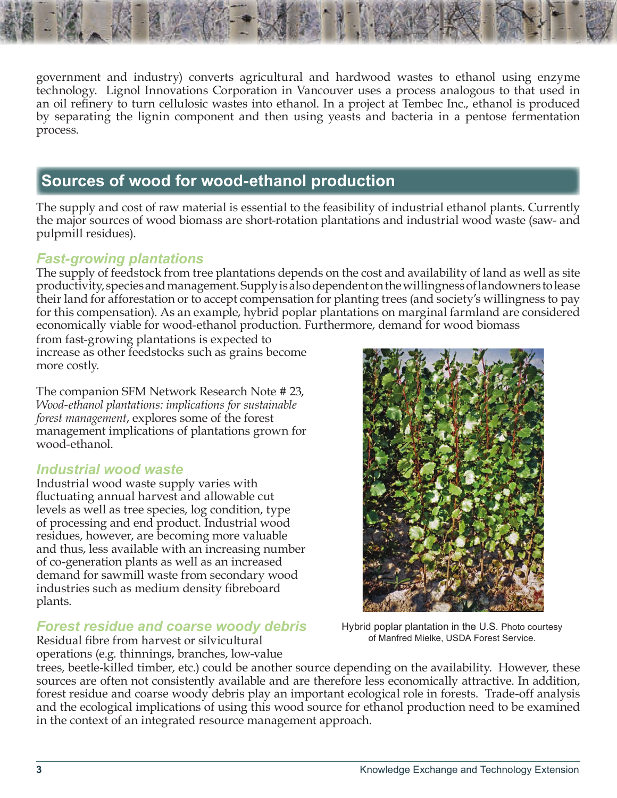government and industry) converts agricultural and hardwood wastes to ethanol using enzyme technology. Lignol Innovations Corporation in Vancouver uses a process analogous to that used in an oil refinery to turn cellulosic wastes into ethanol. In a project at Tembec Inc., ethanol is produced by separating the lignin component and then using yeasts and bacteria in a pentose fermentation process.

## **Sources of wood for wood-ethanol production**

The supply and cost of raw material is essential to the feasibility of industrial ethanol plants. Currently the major sources of wood biomass are short-rotation plantations and industrial wood waste (saw- and pulpmill residues).

#### *Fast-growing plantations*

The supply of feedstock from tree plantations depends on the cost and availability of land as well as site productivity, species and management. Supply is also dependent on the willingness of landowners to lease their land for afforestation or to accept compensation for planting trees (and society's willingness to pay for this compensation). As an example, hybrid poplar plantations on marginal farmland are considered economically viable for wood-ethanol production. Furthermore, demand for wood biomass

from fast-growing plantations is expected to increase as other feedstocks such as grains become more costly.

The companion SFM Network Research Note # 23, *Wood-ethanol plantations: implications for sustainable forest management*, explores some of the forest management implications of plantations grown for wood-ethanol.

#### *Industrial wood waste*

Industrial wood waste supply varies with fluctuating annual harvest and allowable cut levels as well as tree species, log condition, type of processing and end product. Industrial wood residues, however, are becoming more valuable and thus, less available with an increasing number of co-generation plants as well as an increased demand for sawmill waste from secondary wood industries such as medium density fibreboard plants.

#### *Forest residue and coarse woody debris*

Residual fibre from harvest or silvicultural operations (e.g. thinnings, branches, low-value



Hybrid poplar plantation in the U.S. Photo courtesy of Manfred Mielke, USDA Forest Service.

trees, beetle-killed timber, etc.) could be another source depending on the availability. However, these sources are often not consistently available and are therefore less economically attractive. In addition, forest residue and coarse woody debris play an important ecological role in forests. Trade-off analysis and the ecological implications of using this wood source for ethanol production need to be examined in the context of an integrated resource management approach.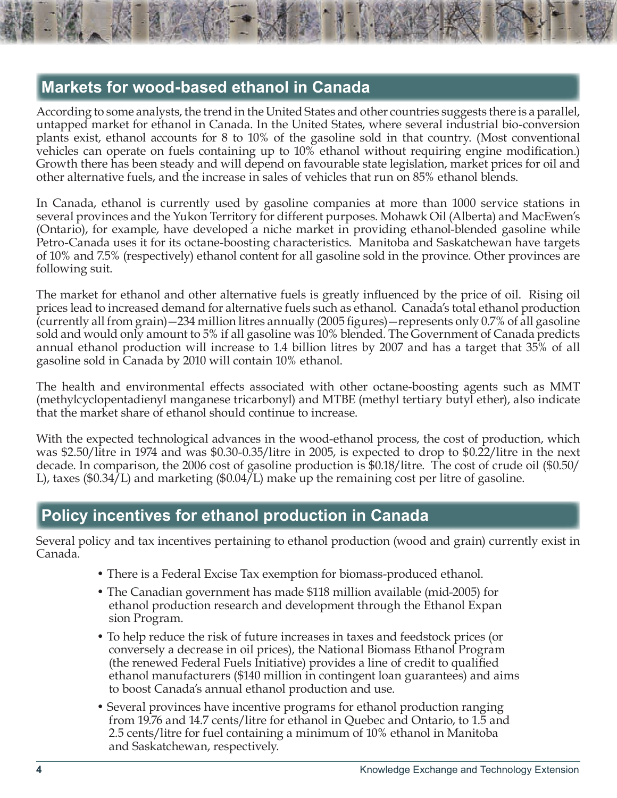## **Markets for wood-based ethanol in Canada**

According to some analysts, the trend in the United States and other countries suggests there is a parallel, untapped market for ethanol in Canada. In the United States, where several industrial bio-conversion plants exist, ethanol accounts for 8 to 10% of the gasoline sold in that country. (Most conventional vehicles can operate on fuels containing up to 10% ethanol without requiring engine modification.) Growth there has been steady and will depend on favourable state legislation, market prices for oil and other alternative fuels, and the increase in sales of vehicles that run on 85% ethanol blends.

In Canada, ethanol is currently used by gasoline companies at more than 1000 service stations in several provinces and the Yukon Territory for different purposes. Mohawk Oil (Alberta) and MacEwen's (Ontario), for example, have developed a niche market in providing ethanol-blended gasoline while Petro-Canada uses it for its octane-boosting characteristics. Manitoba and Saskatchewan have targets of 10% and 7.5% (respectively) ethanol content for all gasoline sold in the province. Other provinces are following suit.

The market for ethanol and other alternative fuels is greatly influenced by the price of oil. Rising oil prices lead to increased demand for alternative fuels such as ethanol. Canada's total ethanol production (currently all from grain)—234 million litres annually (2005 figures)—represents only 0.7% of all gasoline sold and would only amount to 5% if all gasoline was 10% blended. The Government of Canada predicts annual ethanol production will increase to 1.4 billion litres by 2007 and has a target that 35% of all gasoline sold in Canada by 2010 will contain 10% ethanol.

The health and environmental effects associated with other octane-boosting agents such as MMT (methylcyclopentadienyl manganese tricarbonyl) and MTBE (methyl tertiary butyl ether), also indicate that the market share of ethanol should continue to increase.

With the expected technological advances in the wood-ethanol process, the cost of production, which was \$2.50/litre in 1974 and was \$0.30-0.35/litre in 2005, is expected to drop to \$0.22/litre in the next decade. In comparison, the 2006 cost of gasoline production is \$0.18/litre. The cost of crude oil (\$0.50/ L), taxes (\$0.34/L) and marketing (\$0.04/L) make up the remaining cost per litre of gasoline.

# **Policy incentives for ethanol production in Canada**

Several policy and tax incentives pertaining to ethanol production (wood and grain) currently exist in Canada.

- There is a Federal Excise Tax exemption for biomass-produced ethanol.
- The Canadian government has made \$118 million available (mid-2005) for ethanol production research and development through the Ethanol Expan sion Program.
- To help reduce the risk of future increases in taxes and feedstock prices (or conversely a decrease in oil prices), the National Biomass Ethanol Program (the renewed Federal Fuels Initiative) provides a line of credit to qualified ethanol manufacturers (\$140 million in contingent loan guarantees) and aims to boost Canada's annual ethanol production and use.
- Several provinces have incentive programs for ethanol production ranging from 19.76 and 14.7 cents/litre for ethanol in Quebec and Ontario, to 1.5 and 2.5 cents/litre for fuel containing a minimum of 10% ethanol in Manitoba and Saskatchewan, respectively.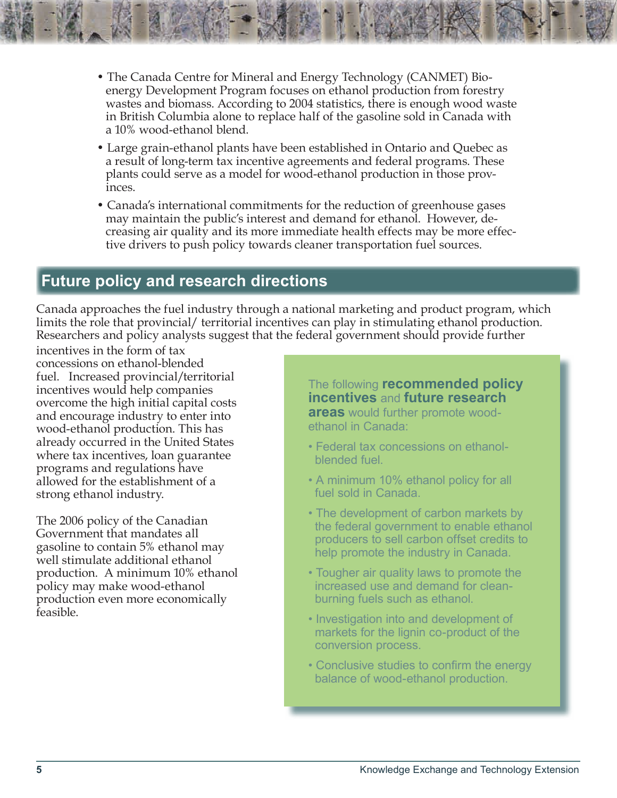- The Canada Centre for Mineral and Energy Technology (CANMET) Bio energy Development Program focuses on ethanol production from forestry wastes and biomass. According to 2004 statistics, there is enough wood waste in British Columbia alone to replace half of the gasoline sold in Canada with a 10% wood-ethanol blend.
- Large grain-ethanol plants have been established in Ontario and Quebec as a result of long-term tax incentive agreements and federal programs. These plants could serve as a model for wood-ethanol production in those prov inces.
- Canada's international commitments for the reduction of greenhouse gases may maintain the public's interest and demand for ethanol. However, de creasing air quality and its more immediate health effects may be more effec tive drivers to push policy towards cleaner transportation fuel sources.

## **Future policy and research directions**

Canada approaches the fuel industry through a national marketing and product program, which limits the role that provincial/ territorial incentives can play in stimulating ethanol production. Researchers and policy analysts suggest that the federal government should provide further

incentives in the form of tax concessions on ethanol-blended fuel. Increased provincial/territorial incentives would help companies overcome the high initial capital costs and encourage industry to enter into wood-ethanol production. This has already occurred in the United States where tax incentives, loan guarantee programs and regulations have allowed for the establishment of a strong ethanol industry.

The 2006 policy of the Canadian Government that mandates all gasoline to contain 5% ethanol may well stimulate additional ethanol production. A minimum 10% ethanol policy may make wood-ethanol production even more economically feasible.

The following **recommended policy incentives** and **future research areas** would further promote woodethanol in Canada:

- Federal tax concessions on ethanol blended fuel.
- A minimum 10% ethanol policy for all fuel sold in Canada.
- The development of carbon markets by the federal government to enable ethanol producers to sell carbon offset credits to help promote the industry in Canada.
- Tougher air quality laws to promote the increased use and demand for clean burning fuels such as ethanol.
- Investigation into and development of markets for the lignin co-product of the conversion process.
- Conclusive studies to confirm the energy balance of wood-ethanol production.